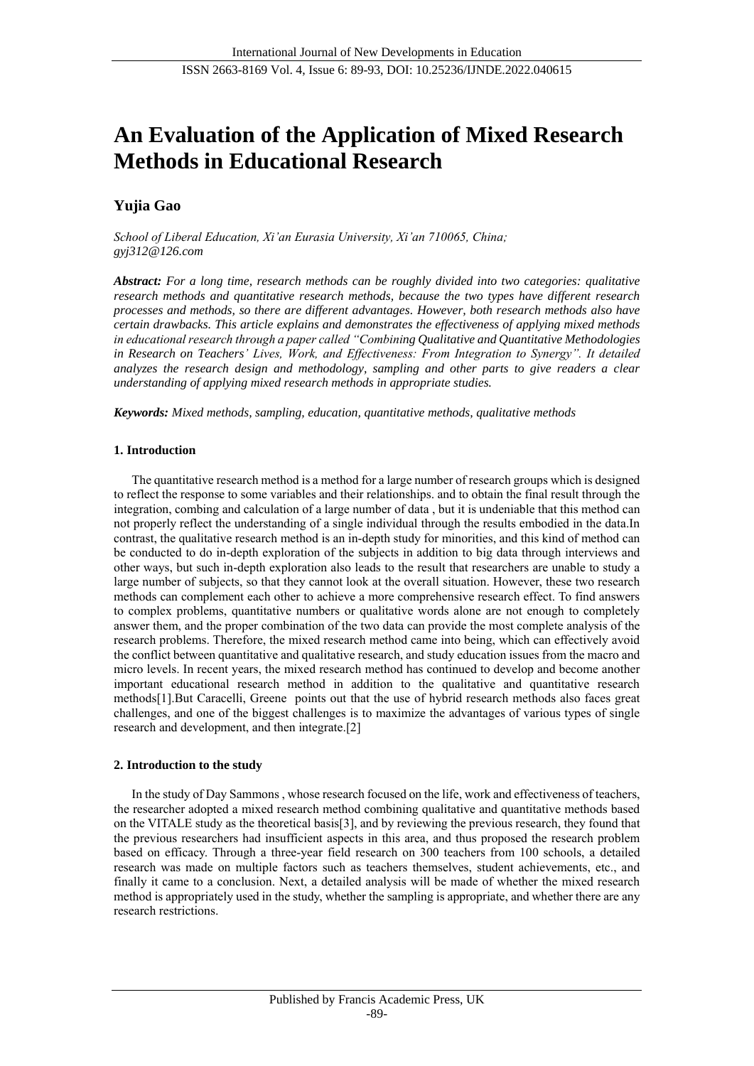# **An Evaluation of the Application of Mixed Research Methods in Educational Research**

## **Yujia Gao**

*School of Liberal Education, Xi'an Eurasia University, Xi'an 710065, China; gyj312@126.com*

*Abstract: For a long time, research methods can be roughly divided into two categories: qualitative research methods and quantitative research methods, because the two types have different research processes and methods, so there are different advantages. However, both research methods also have certain drawbacks. This article explains and demonstrates the effectiveness of applying mixed methods in educational research through a paper called "Combining Qualitative and Quantitative Methodologies in Research on Teachers' Lives, Work, and Effectiveness: From Integration to Synergy". It detailed analyzes the research design and methodology, sampling and other parts to give readers a clear understanding of applying mixed research methods in appropriate studies.*

*Keywords: Mixed methods, sampling, education, quantitative methods, qualitative methods*

## **1. Introduction**

The quantitative research method is a method for a large number of research groups which is designed to reflect the response to some variables and their relationships. and to obtain the final result through the integration, combing and calculation of a large number of data , but it is undeniable that this method can not properly reflect the understanding of a single individual through the results embodied in the data.In contrast, the qualitative research method is an in-depth study for minorities, and this kind of method can be conducted to do in-depth exploration of the subjects in addition to big data through interviews and other ways, but such in-depth exploration also leads to the result that researchers are unable to study a large number of subjects, so that they cannot look at the overall situation. However, these two research methods can complement each other to achieve a more comprehensive research effect. To find answers to complex problems, quantitative numbers or qualitative words alone are not enough to completely answer them, and the proper combination of the two data can provide the most complete analysis of the research problems. Therefore, the mixed research method came into being, which can effectively avoid the conflict between quantitative and qualitative research, and study education issues from the macro and micro levels. In recent years, the mixed research method has continued to develop and become another important educational research method in addition to the qualitative and quantitative research methods[1].But Caracelli, Greene points out that the use of hybrid research methods also faces great challenges, and one of the biggest challenges is to maximize the advantages of various types of single research and development, and then integrate.[2]

## **2. Introduction to the study**

In the study of Day Sammons , whose research focused on the life, work and effectiveness of teachers, the researcher adopted a mixed research method combining qualitative and quantitative methods based on the VITALE study as the theoretical basis[3], and by reviewing the previous research, they found that the previous researchers had insufficient aspects in this area, and thus proposed the research problem based on efficacy. Through a three-year field research on 300 teachers from 100 schools, a detailed research was made on multiple factors such as teachers themselves, student achievements, etc., and finally it came to a conclusion. Next, a detailed analysis will be made of whether the mixed research method is appropriately used in the study, whether the sampling is appropriate, and whether there are any research restrictions.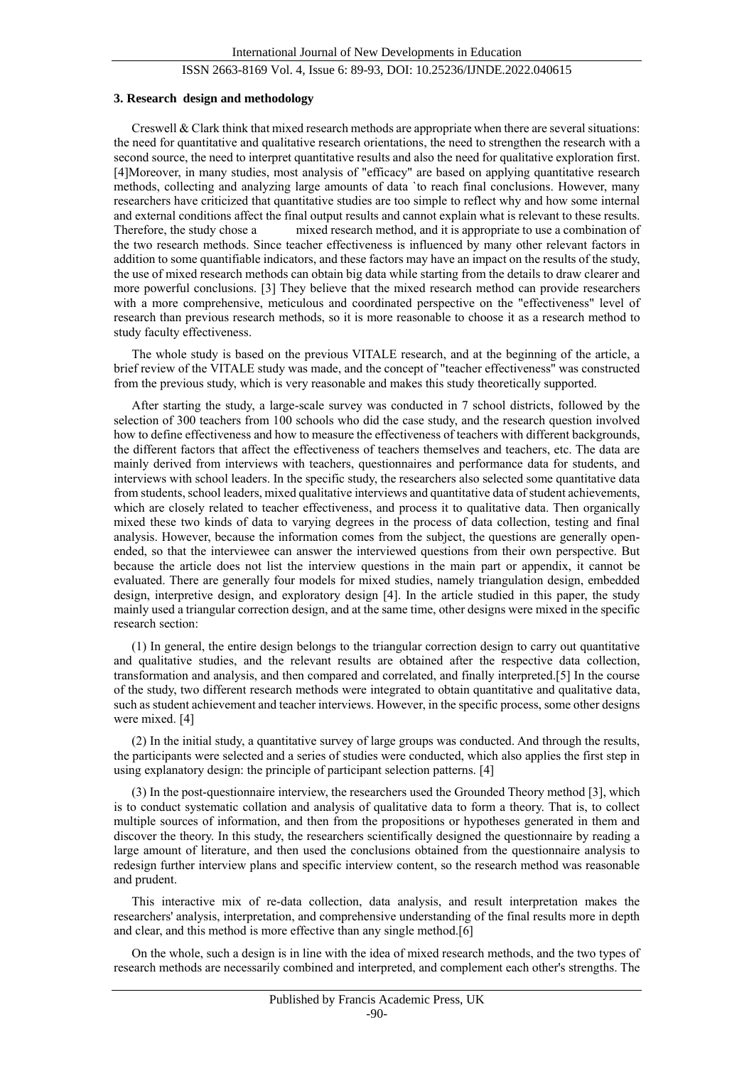#### **3. Research design and methodology**

Creswell & Clark think that mixed research methods are appropriate when there are several situations: the need for quantitative and qualitative research orientations, the need to strengthen the research with a second source, the need to interpret quantitative results and also the need for qualitative exploration first. [4]Moreover, in many studies, most analysis of "efficacy" are based on applying quantitative research methods, collecting and analyzing large amounts of data `to reach final conclusions. However, many researchers have criticized that quantitative studies are too simple to reflect why and how some internal and external conditions affect the final output results and cannot explain what is relevant to these results. Therefore, the study chose a mixed research method, and it is appropriate to use a combination of the two research methods. Since teacher effectiveness is influenced by many other relevant factors in addition to some quantifiable indicators, and these factors may have an impact on the results of the study, the use of mixed research methods can obtain big data while starting from the details to draw clearer and more powerful conclusions. [3] They believe that the mixed research method can provide researchers with a more comprehensive, meticulous and coordinated perspective on the "effectiveness" level of research than previous research methods, so it is more reasonable to choose it as a research method to study faculty effectiveness.

The whole study is based on the previous VITALE research, and at the beginning of the article, a brief review of the VITALE study was made, and the concept of "teacher effectiveness" was constructed from the previous study, which is very reasonable and makes this study theoretically supported.

After starting the study, a large-scale survey was conducted in 7 school districts, followed by the selection of 300 teachers from 100 schools who did the case study, and the research question involved how to define effectiveness and how to measure the effectiveness of teachers with different backgrounds, the different factors that affect the effectiveness of teachers themselves and teachers, etc. The data are mainly derived from interviews with teachers, questionnaires and performance data for students, and interviews with school leaders. In the specific study, the researchers also selected some quantitative data from students, school leaders, mixed qualitative interviews and quantitative data of student achievements, which are closely related to teacher effectiveness, and process it to qualitative data. Then organically mixed these two kinds of data to varying degrees in the process of data collection, testing and final analysis. However, because the information comes from the subject, the questions are generally openended, so that the interviewee can answer the interviewed questions from their own perspective. But because the article does not list the interview questions in the main part or appendix, it cannot be evaluated. There are generally four models for mixed studies, namely triangulation design, embedded design, interpretive design, and exploratory design [4]. In the article studied in this paper, the study mainly used a triangular correction design, and at the same time, other designs were mixed in the specific research section:

(1) In general, the entire design belongs to the triangular correction design to carry out quantitative and qualitative studies, and the relevant results are obtained after the respective data collection, transformation and analysis, and then compared and correlated, and finally interpreted.[5] In the course of the study, two different research methods were integrated to obtain quantitative and qualitative data, such as student achievement and teacher interviews. However, in the specific process, some other designs were mixed. [4]

(2) In the initial study, a quantitative survey of large groups was conducted. And through the results, the participants were selected and a series of studies were conducted, which also applies the first step in using explanatory design: the principle of participant selection patterns. [4]

(3) In the post-questionnaire interview, the researchers used the Grounded Theory method [3], which is to conduct systematic collation and analysis of qualitative data to form a theory. That is, to collect multiple sources of information, and then from the propositions or hypotheses generated in them and discover the theory. In this study, the researchers scientifically designed the questionnaire by reading a large amount of literature, and then used the conclusions obtained from the questionnaire analysis to redesign further interview plans and specific interview content, so the research method was reasonable and prudent.

This interactive mix of re-data collection, data analysis, and result interpretation makes the researchers' analysis, interpretation, and comprehensive understanding of the final results more in depth and clear, and this method is more effective than any single method.[6]

On the whole, such a design is in line with the idea of mixed research methods, and the two types of research methods are necessarily combined and interpreted, and complement each other's strengths. The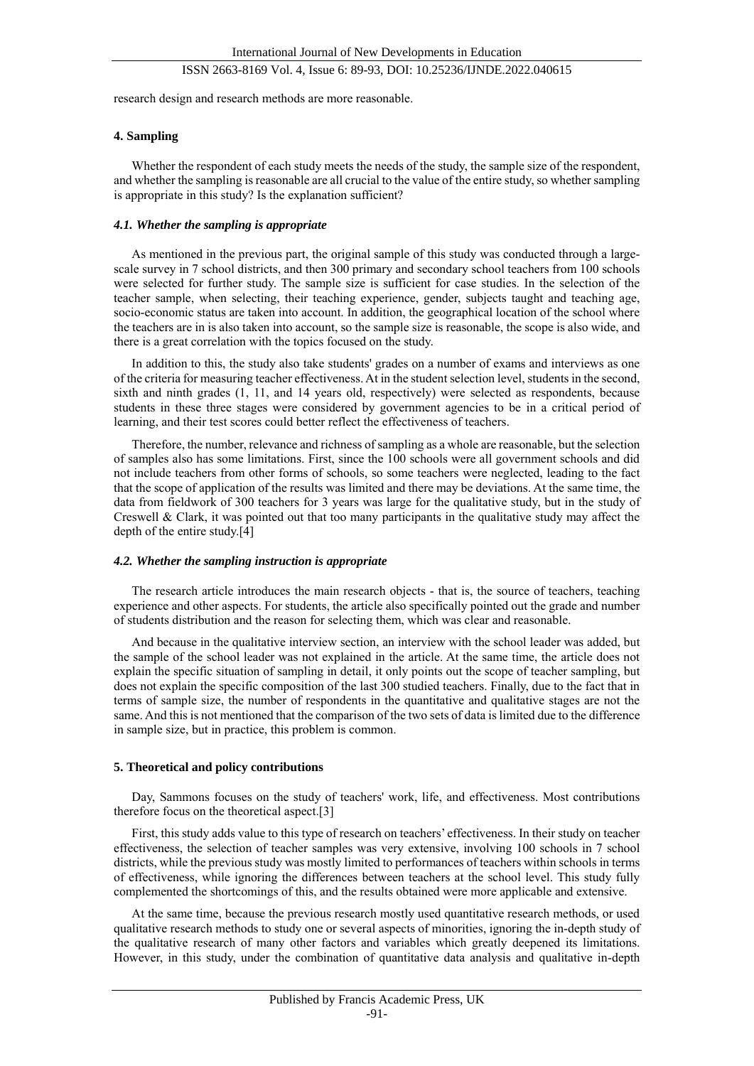research design and research methods are more reasonable.

#### **4. Sampling**

Whether the respondent of each study meets the needs of the study, the sample size of the respondent, and whether the sampling is reasonable are all crucial to the value of the entire study, so whether sampling is appropriate in this study? Is the explanation sufficient?

### *4.1. Whether the sampling is appropriate*

As mentioned in the previous part, the original sample of this study was conducted through a largescale survey in 7 school districts, and then 300 primary and secondary school teachers from 100 schools were selected for further study. The sample size is sufficient for case studies. In the selection of the teacher sample, when selecting, their teaching experience, gender, subjects taught and teaching age, socio-economic status are taken into account. In addition, the geographical location of the school where the teachers are in is also taken into account, so the sample size is reasonable, the scope is also wide, and there is a great correlation with the topics focused on the study.

In addition to this, the study also take students' grades on a number of exams and interviews as one of the criteria for measuring teacher effectiveness. At in the student selection level, students in the second, sixth and ninth grades (1, 11, and 14 years old, respectively) were selected as respondents, because students in these three stages were considered by government agencies to be in a critical period of learning, and their test scores could better reflect the effectiveness of teachers.

Therefore, the number, relevance and richness of sampling as a whole are reasonable, but the selection of samples also has some limitations. First, since the 100 schools were all government schools and did not include teachers from other forms of schools, so some teachers were neglected, leading to the fact that the scope of application of the results was limited and there may be deviations. At the same time, the data from fieldwork of 300 teachers for 3 years was large for the qualitative study, but in the study of Creswell & Clark, it was pointed out that too many participants in the qualitative study may affect the depth of the entire study.[4]

## *4.2. Whether the sampling instruction is appropriate*

The research article introduces the main research objects - that is, the source of teachers, teaching experience and other aspects. For students, the article also specifically pointed out the grade and number of students distribution and the reason for selecting them, which was clear and reasonable.

And because in the qualitative interview section, an interview with the school leader was added, but the sample of the school leader was not explained in the article. At the same time, the article does not explain the specific situation of sampling in detail, it only points out the scope of teacher sampling, but does not explain the specific composition of the last 300 studied teachers. Finally, due to the fact that in terms of sample size, the number of respondents in the quantitative and qualitative stages are not the same. And this is not mentioned that the comparison of the two sets of data is limited due to the difference in sample size, but in practice, this problem is common.

#### **5. Theoretical and policy contributions**

Day, Sammons focuses on the study of teachers' work, life, and effectiveness. Most contributions therefore focus on the theoretical aspect.[3]

First, this study adds value to this type of research on teachers' effectiveness. In their study on teacher effectiveness, the selection of teacher samples was very extensive, involving 100 schools in 7 school districts, while the previous study was mostly limited to performances of teachers within schools in terms of effectiveness, while ignoring the differences between teachers at the school level. This study fully complemented the shortcomings of this, and the results obtained were more applicable and extensive.

At the same time, because the previous research mostly used quantitative research methods, or used qualitative research methods to study one or several aspects of minorities, ignoring the in-depth study of the qualitative research of many other factors and variables which greatly deepened its limitations. However, in this study, under the combination of quantitative data analysis and qualitative in-depth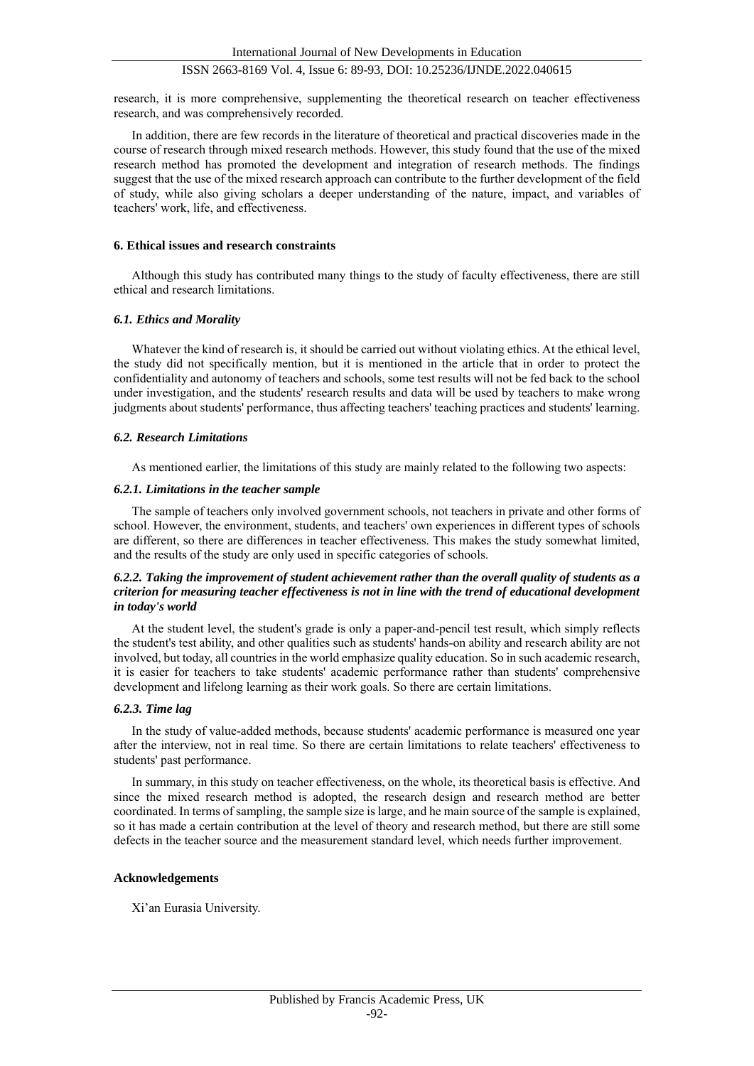research, it is more comprehensive, supplementing the theoretical research on teacher effectiveness research, and was comprehensively recorded.

In addition, there are few records in the literature of theoretical and practical discoveries made in the course of research through mixed research methods. However, this study found that the use of the mixed research method has promoted the development and integration of research methods. The findings suggest that the use of the mixed research approach can contribute to the further development of the field of study, while also giving scholars a deeper understanding of the nature, impact, and variables of teachers' work, life, and effectiveness.

## **6. Ethical issues and research constraints**

Although this study has contributed many things to the study of faculty effectiveness, there are still ethical and research limitations.

## *6.1. Ethics and Morality*

Whatever the kind of research is, it should be carried out without violating ethics. At the ethical level, the study did not specifically mention, but it is mentioned in the article that in order to protect the confidentiality and autonomy of teachers and schools, some test results will not be fed back to the school under investigation, and the students' research results and data will be used by teachers to make wrong judgments about students' performance, thus affecting teachers' teaching practices and students' learning.

## *6.2. Research Limitations*

As mentioned earlier, the limitations of this study are mainly related to the following two aspects:

## *6.2.1. Limitations in the teacher sample*

The sample of teachers only involved government schools, not teachers in private and other forms of school. However, the environment, students, and teachers' own experiences in different types of schools are different, so there are differences in teacher effectiveness. This makes the study somewhat limited, and the results of the study are only used in specific categories of schools.

## *6.2.2. Taking the improvement of student achievement rather than the overall quality of students as a criterion for measuring teacher effectiveness is not in line with the trend of educational development in today's world*

At the student level, the student's grade is only a paper-and-pencil test result, which simply reflects the student's test ability, and other qualities such as students' hands-on ability and research ability are not involved, but today, all countries in the world emphasize quality education. So in such academic research, it is easier for teachers to take students' academic performance rather than students' comprehensive development and lifelong learning as their work goals. So there are certain limitations.

#### *6.2.3. Time lag*

In the study of value-added methods, because students' academic performance is measured one year after the interview, not in real time. So there are certain limitations to relate teachers' effectiveness to students' past performance.

In summary, in this study on teacher effectiveness, on the whole, its theoretical basis is effective. And since the mixed research method is adopted, the research design and research method are better coordinated. In terms of sampling, the sample size is large, and he main source of the sample is explained, so it has made a certain contribution at the level of theory and research method, but there are still some defects in the teacher source and the measurement standard level, which needs further improvement.

## **Acknowledgements**

Xi'an Eurasia University.